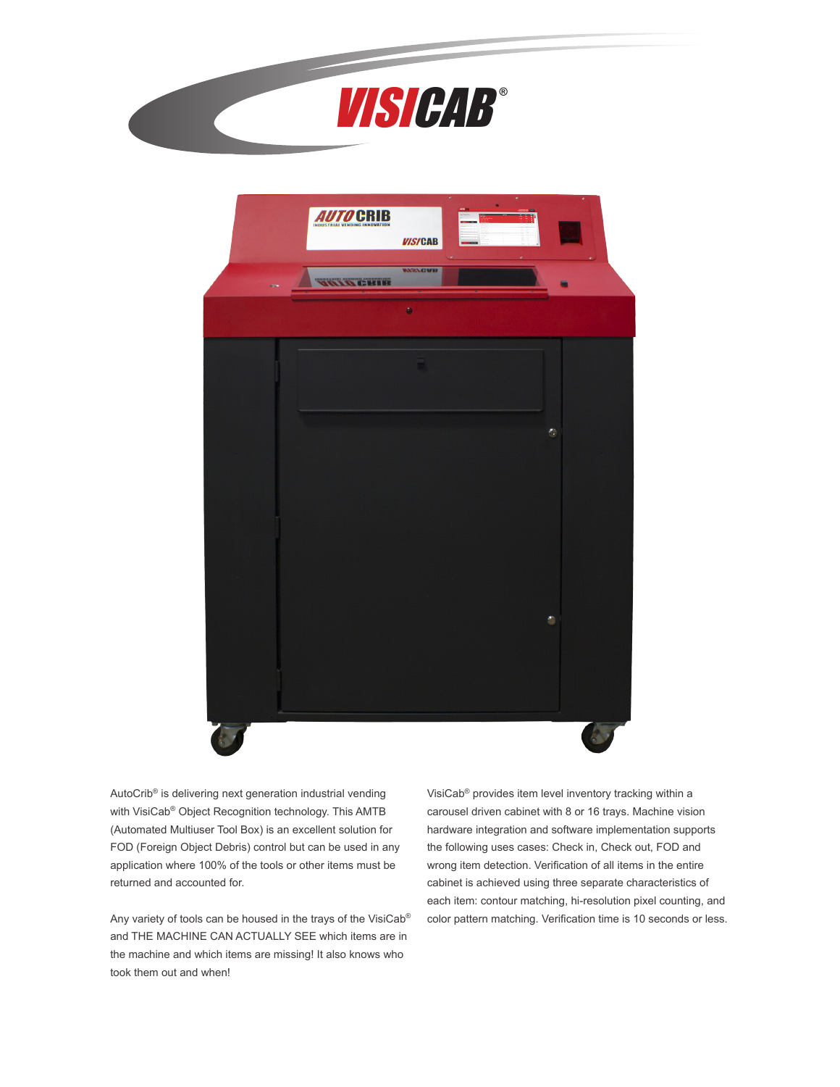



AutoCrib® is delivering next generation industrial vending with VisiCab® Object Recognition technology. This AMTB (Automated Multiuser Tool Box) is an excellent solution for FOD (Foreign Object Debris) control but can be used in any application where 100% of the tools or other items must be returned and accounted for.

Any variety of tools can be housed in the trays of the VisiCab® and THE MACHINE CAN ACTUALLY SEE which items are in the machine and which items are missing! It also knows who took them out and when!

VisiCab® provides item level inventory tracking within a carousel driven cabinet with 8 or 16 trays. Machine vision hardware integration and software implementation supports the following uses cases: Check in, Check out, FOD and wrong item detection. Verification of all items in the entire cabinet is achieved using three separate characteristics of each item: contour matching, hi-resolution pixel counting, and color pattern matching. Verification time is 10 seconds or less.